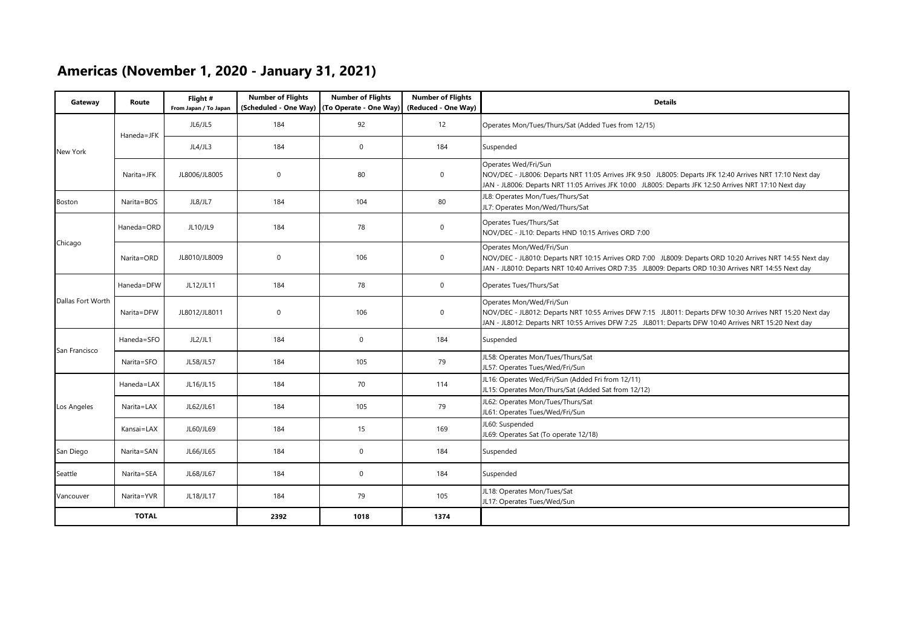# **Americas (November 1, 2020 - January 31, 2021)**

| Gateway           | Route        | Flight#<br>From Japan / To Japan | <b>Number of Flights</b><br>(Scheduled - One Way) | <b>Number of Flights</b><br>(To Operate - One Way) | <b>Number of Flights</b><br>(Reduced - One Way) | <b>Details</b>                                                                                                                                                                                                                                 |
|-------------------|--------------|----------------------------------|---------------------------------------------------|----------------------------------------------------|-------------------------------------------------|------------------------------------------------------------------------------------------------------------------------------------------------------------------------------------------------------------------------------------------------|
|                   | Haneda=JFK   | JL6/JL5                          | 184                                               | 92                                                 | 12                                              | Operates Mon/Tues/Thurs/Sat (Added Tues from 12/15)                                                                                                                                                                                            |
| New York          |              | JL4/JL3                          | 184                                               | $\mathbf 0$                                        | 184                                             | Suspended                                                                                                                                                                                                                                      |
|                   | Narita=JFK   | JL8006/JL8005                    | $\mathbf 0$                                       | 80                                                 | 0                                               | Operates Wed/Fri/Sun<br>NOV/DEC - JL8006: Departs NRT 11:05 Arrives JFK 9:50 JL8005: Departs JFK 12:40 Arrives NRT 17:10 Next day<br>JAN - JL8006: Departs NRT 11:05 Arrives JFK 10:00 JL8005: Departs JFK 12:50 Arrives NRT 17:10 Next day    |
| <b>Boston</b>     | Narita=BOS   | JL8/JL7                          | 184                                               | 104                                                | 80                                              | JL8: Operates Mon/Tues/Thurs/Sat<br>JL7: Operates Mon/Wed/Thurs/Sat                                                                                                                                                                            |
|                   | Haneda=ORD   | JL10/JL9                         | 184                                               | 78                                                 | 0                                               | Operates Tues/Thurs/Sat<br>NOV/DEC - JL10: Departs HND 10:15 Arrives ORD 7:00                                                                                                                                                                  |
| Chicago           | Narita=ORD   | JL8010/JL8009                    | $\mathbf 0$                                       | 106                                                | 0                                               | Operates Mon/Wed/Fri/Sun<br>NOV/DEC - JL8010: Departs NRT 10:15 Arrives ORD 7:00 JL8009: Departs ORD 10:20 Arrives NRT 14:55 Next day<br>JAN - JL8010: Departs NRT 10:40 Arrives ORD 7:35 JL8009: Departs ORD 10:30 Arrives NRT 14:55 Next day |
|                   | Haneda=DFW   | JL12/JL11                        | 184                                               | 78                                                 | 0                                               | Operates Tues/Thurs/Sat                                                                                                                                                                                                                        |
| Dallas Fort Worth | Narita=DFW   | JL8012/JL8011                    | $\mathbf 0$                                       | 106                                                | $\mathbf 0$                                     | Operates Mon/Wed/Fri/Sun<br>NOV/DEC - JL8012: Departs NRT 10:55 Arrives DFW 7:15 JL8011: Departs DFW 10:30 Arrives NRT 15:20 Next day<br>JAN - JL8012: Departs NRT 10:55 Arrives DFW 7:25 JL8011: Departs DFW 10:40 Arrives NRT 15:20 Next day |
|                   | Haneda=SFO   | JL2/JL1                          | 184                                               | $\mathbf 0$                                        | 184                                             | Suspended                                                                                                                                                                                                                                      |
| San Francisco     | Narita=SFO   | JL58/JL57                        | 184                                               | 105                                                | 79                                              | JL58: Operates Mon/Tues/Thurs/Sat<br>JL57: Operates Tues/Wed/Fri/Sun                                                                                                                                                                           |
|                   | Haneda=LAX   | JL16/JL15                        | 184                                               | 70                                                 | 114                                             | JL16: Operates Wed/Fri/Sun (Added Fri from 12/11)<br>JL15: Operates Mon/Thurs/Sat (Added Sat from 12/12)                                                                                                                                       |
| Los Angeles       | Narita=LAX   | JL62/JL61                        | 184                                               | 105                                                | 79                                              | JL62: Operates Mon/Tues/Thurs/Sat<br>JL61: Operates Tues/Wed/Fri/Sun                                                                                                                                                                           |
|                   | Kansai=LAX   | JL60/JL69                        | 184                                               | 15                                                 | 169                                             | JL60: Suspended<br>JL69: Operates Sat (To operate 12/18)                                                                                                                                                                                       |
| San Diego         | Narita=SAN   | JL66/JL65                        | 184                                               | $\mathbf 0$                                        | 184                                             | Suspended                                                                                                                                                                                                                                      |
| Seattle           | Narita=SEA   | JL68/JL67                        | 184                                               | $\mathbf 0$                                        | 184                                             | Suspended                                                                                                                                                                                                                                      |
| Vancouver         | Narita=YVR   | JL18/JL17                        | 184                                               | 79                                                 | 105                                             | JL18: Operates Mon/Tues/Sat<br>JL17: Operates Tues/Wed/Sun                                                                                                                                                                                     |
|                   | <b>TOTAL</b> |                                  | 2392                                              | 1018                                               | 1374                                            |                                                                                                                                                                                                                                                |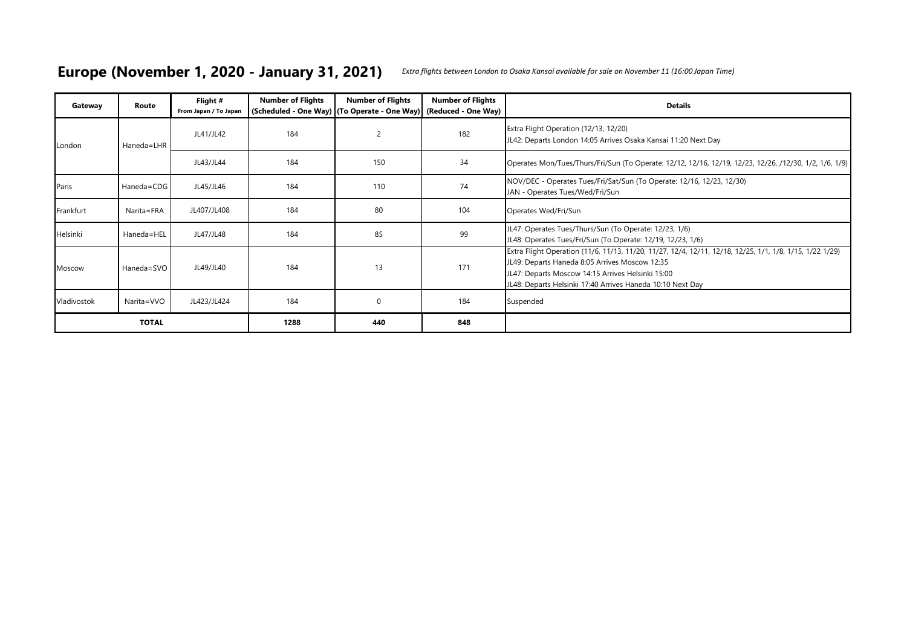#### **Europe (November 1, 2020 - January 31, 2021)** *Extra flights between London to Osaka Kansai available for sale on November 11 (16:00 Japan Time)*

| Gateway     | Route        | Flight #<br>From Japan / To Japan | <b>Number of Flights</b> | <b>Number of Flights</b><br>(Scheduled - One Way) (To Operate - One Way) (Reduced - One Way) | <b>Number of Flights</b> | <b>Details</b>                                                                                                                                                                                                                                                                |
|-------------|--------------|-----------------------------------|--------------------------|----------------------------------------------------------------------------------------------|--------------------------|-------------------------------------------------------------------------------------------------------------------------------------------------------------------------------------------------------------------------------------------------------------------------------|
| London      | Haneda=LHR   | JL41/JL42                         | 184                      | 2                                                                                            | 182                      | Extra Flight Operation (12/13, 12/20)<br>JL42: Departs London 14:05 Arrives Osaka Kansai 11:20 Next Day                                                                                                                                                                       |
|             |              | JL43/JL44                         | 184                      | 150                                                                                          | 34                       | Operates Mon/Tues/Thurs/Fri/Sun (To Operate: 12/12, 12/16, 12/19, 12/23, 12/26, /12/30, 1/2, 1/6, 1/9)                                                                                                                                                                        |
| Paris       | Haneda=CDG   | JL45/JL46                         | 184                      | 110                                                                                          | 74                       | NOV/DEC - Operates Tues/Fri/Sat/Sun (To Operate: 12/16, 12/23, 12/30)<br>JAN - Operates Tues/Wed/Fri/Sun                                                                                                                                                                      |
| Frankfurt   | Narita=FRA   | JL407/JL408                       | 184                      | 80                                                                                           | 104                      | Operates Wed/Fri/Sun                                                                                                                                                                                                                                                          |
| Helsinki    | Haneda=HEL   | JL47/JL48                         | 184                      | 85                                                                                           | 99                       | JL47: Operates Tues/Thurs/Sun (To Operate: 12/23, 1/6)<br>JL48: Operates Tues/Fri/Sun (To Operate: 12/19, 12/23, 1/6)                                                                                                                                                         |
| Moscow      | Haneda=SVO   | JL49/JL40                         | 184                      | 13                                                                                           | 171                      | Extra Flight Operation (11/6, 11/13, 11/20, 11/27, 12/4, 12/11, 12/18, 12/25, 1/1, 1/8, 1/15, 1/22 1/29)<br>JL49: Departs Haneda 8:05 Arrives Moscow 12:35<br>JL47: Departs Moscow 14:15 Arrives Helsinki 15:00<br>JL48: Departs Helsinki 17:40 Arrives Haneda 10:10 Next Day |
| Vladivostok | Narita=VVO   | JL423/JL424                       | 184                      | $\mathbf 0$                                                                                  | 184                      | Suspended                                                                                                                                                                                                                                                                     |
|             | <b>TOTAL</b> |                                   | 1288                     | 440                                                                                          | 848                      |                                                                                                                                                                                                                                                                               |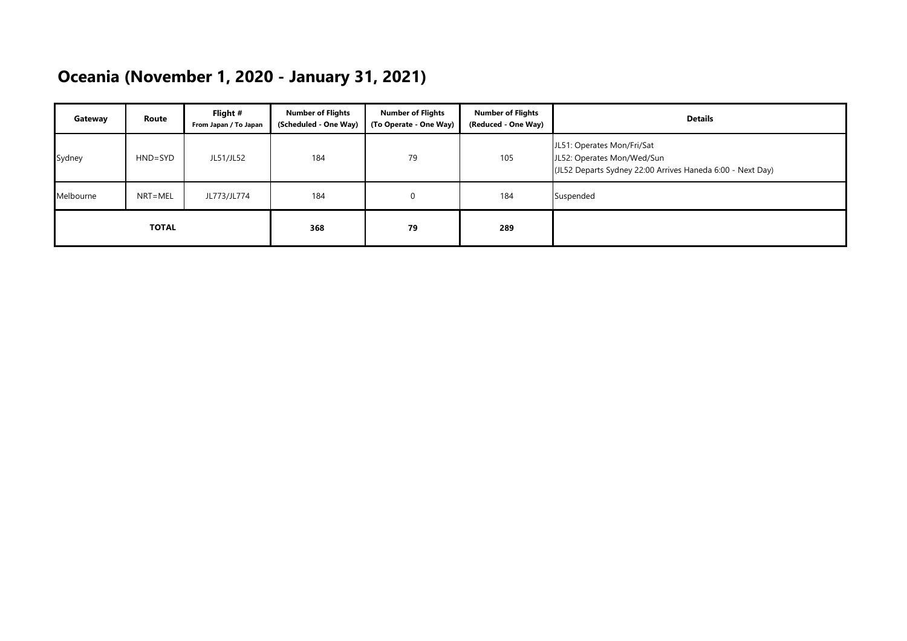# **Oceania (November 1, 2020 - January 31, 2021)**

| Gateway      | Route       | Flight #<br>From Japan / To Japan | <b>Number of Flights</b><br>(Scheduled - One Way) | <b>Number of Flights</b><br>(To Operate - One Way) | <b>Number of Flights</b><br>(Reduced - One Way) | <b>Details</b>                                                                                                         |
|--------------|-------------|-----------------------------------|---------------------------------------------------|----------------------------------------------------|-------------------------------------------------|------------------------------------------------------------------------------------------------------------------------|
| Sydney       | $HND = SYD$ | JL51/JL52                         | 184                                               | 79                                                 | 105                                             | JL51: Operates Mon/Fri/Sat<br>JL52: Operates Mon/Wed/Sun<br>(JL52 Departs Sydney 22:00 Arrives Haneda 6:00 - Next Day) |
| Melbourne    | NRT=MEL     | JL773/JL774                       | 184                                               | 0                                                  | 184                                             | Suspended                                                                                                              |
| <b>TOTAL</b> |             |                                   | 368                                               | 79                                                 | 289                                             |                                                                                                                        |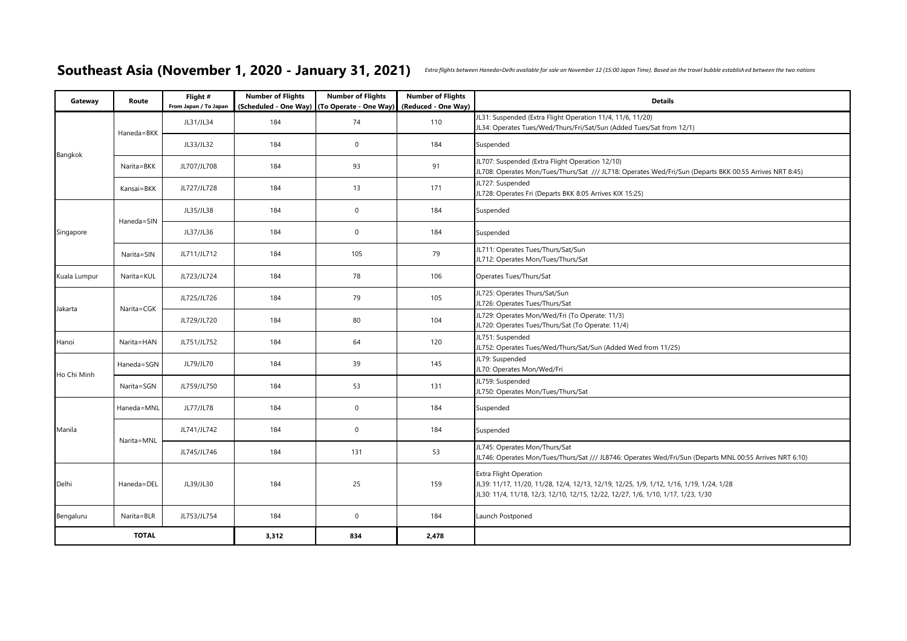## Southeast Asia (November 1, 2020 - January 31, 2021) Extra flights between Haneda=Delhi available for sale on November 12 (15:00 Japan Time). Based on the travel bubble established between the two nations

| Gateway      | Route        | Flight #<br>From Japan / To Japan | <b>Number of Flights</b> | <b>Number of Flights</b><br>(Scheduled - One Way) (To Operate - One Way) | <b>Number of Flights</b><br>(Reduced - One Way) | <b>Details</b>                                                                                                                                                                                               |
|--------------|--------------|-----------------------------------|--------------------------|--------------------------------------------------------------------------|-------------------------------------------------|--------------------------------------------------------------------------------------------------------------------------------------------------------------------------------------------------------------|
|              | Haneda=BKK   | JL31/JL34                         | 184                      | 74                                                                       | 110                                             | JL31: Suspended (Extra Flight Operation 11/4, 11/6, 11/20)<br>JL34: Operates Tues/Wed/Thurs/Fri/Sat/Sun (Added Tues/Sat from 12/1)                                                                           |
|              |              | JL33/JL32                         | 184                      | $\mathbb O$                                                              | 184                                             | Suspended                                                                                                                                                                                                    |
| Bangkok      | Narita=BKK   | JL707/JL708                       | 184                      | 93                                                                       | 91                                              | JL707: Suspended (Extra Flight Operation 12/10)<br>JL708: Operates Mon/Tues/Thurs/Sat /// JL718: Operates Wed/Fri/Sun (Departs BKK 00:55 Arrives NRT 8:45)                                                   |
|              | Kansai=BKK   | JL727/JL728                       | 184                      | 13                                                                       | 171                                             | JL727: Suspended<br>JL728: Operates Fri (Departs BKK 8:05 Arrives KIX 15:25)                                                                                                                                 |
|              | Haneda=SIN   | JL35/JL38                         | 184                      | $\mathbf{0}$                                                             | 184                                             | Suspended                                                                                                                                                                                                    |
| Singapore    |              | JL37/JL36                         | 184                      | $\mathbb O$                                                              | 184                                             | Suspended                                                                                                                                                                                                    |
|              | Narita=SIN   | JL711/JL712                       | 184                      | 105                                                                      | 79                                              | JL711: Operates Tues/Thurs/Sat/Sun<br>JL712: Operates Mon/Tues/Thurs/Sat                                                                                                                                     |
| Kuala Lumpur | Narita=KUL   | JL723/JL724                       | 184                      | 78                                                                       | 106                                             | Operates Tues/Thurs/Sat                                                                                                                                                                                      |
| Jakarta      | Narita=CGK   | JL725/JL726                       | 184                      | 79                                                                       | 105                                             | JL725: Operates Thurs/Sat/Sun<br>JL726: Operates Tues/Thurs/Sat                                                                                                                                              |
|              |              | JL729/JL720                       | 184                      | 80                                                                       | 104                                             | JL729: Operates Mon/Wed/Fri (To Operate: 11/3)<br>JL720: Operates Tues/Thurs/Sat (To Operate: 11/4)                                                                                                          |
| Hanoi        | Narita=HAN   | JL751/JL752                       | 184                      | 64                                                                       | 120                                             | JL751: Suspended<br>JL752: Operates Tues/Wed/Thurs/Sat/Sun (Added Wed from 11/25)                                                                                                                            |
| Ho Chi Minh  | Haneda=SGN   | JL79/JL70                         | 184                      | 39                                                                       | 145                                             | JL79: Suspended<br>JL70: Operates Mon/Wed/Fri                                                                                                                                                                |
|              | Narita=SGN   | JL759/JL750                       | 184                      | 53                                                                       | 131                                             | JL759: Suspended<br>JL750: Operates Mon/Tues/Thurs/Sat                                                                                                                                                       |
|              | Haneda=MNL   | JL77/JL78                         | 184                      | $\mathbb O$                                                              | 184                                             | Suspended                                                                                                                                                                                                    |
| Manila       | Narita=MNL   | JL741/JL742                       | 184                      | $\mathbb O$                                                              | 184                                             | Suspended                                                                                                                                                                                                    |
|              |              | JL745/JL746                       | 184                      | 131                                                                      | 53                                              | JL745: Operates Mon/Thurs/Sat<br>/10 IL746: Operates Mon/Tues/Thurs/Sat /// JL8746: Operates Wed/Fri/Sun (Departs MNL 00:55 Arrives NRT                                                                      |
| Delhi        | Haneda=DEL   | JL39/JL30                         | 184                      | 25                                                                       | 159                                             | <b>Extra Flight Operation</b><br>JL39: 11/17, 11/20, 11/28, 12/4, 12/13, 12/19, 12/25, 1/9, 1/12, 1/16, 1/19, 1/24, 1/28<br>JL30: 11/4, 11/18, 12/3, 12/10, 12/15, 12/22, 12/27, 1/6, 1/10, 1/17, 1/23, 1/30 |
| Bengaluru    | Narita=BLR   | JL753/JL754                       | 184                      | $\mathbf 0$                                                              | 184                                             | Launch Postponed                                                                                                                                                                                             |
|              | <b>TOTAL</b> |                                   | 3,312                    | 834                                                                      | 2,478                                           |                                                                                                                                                                                                              |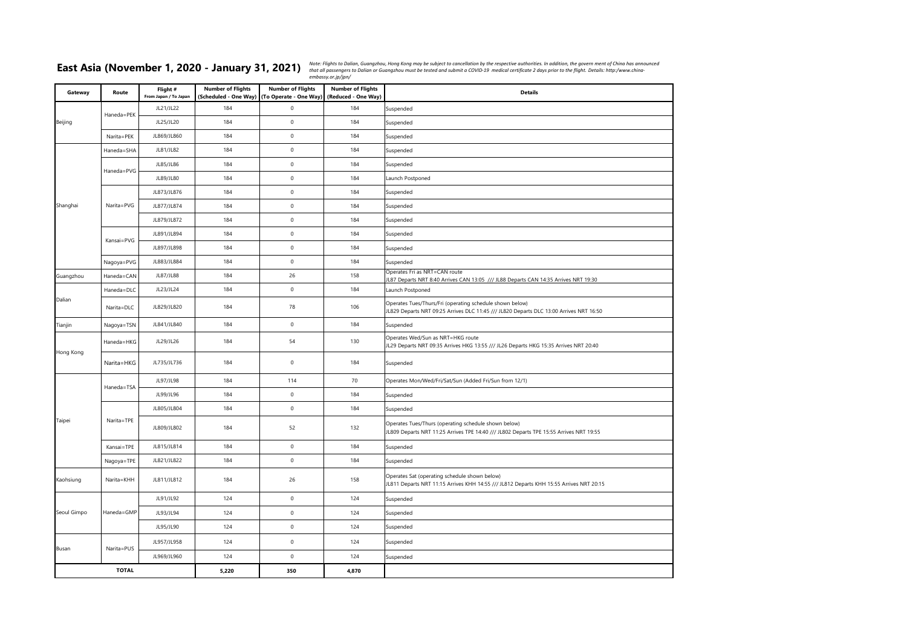East Asia (November 1, 2020 - January 31, 2021) Note: Flights to Dalian, Guangzhou, Hong Kong may be subject to cancellation by the respective authorities. In addition, the govern ment of China has announced

| Gateway      | Route      | Flight #<br>From Japan / To Japan | <b>Number of Flights</b><br>(Scheduled - One Way) | <b>Number of Flights</b><br>(To Operate - One Way) | <b>Number of Flights</b><br>(Reduced - One Way) | <b>Details</b>                                                                                                                                      |
|--------------|------------|-----------------------------------|---------------------------------------------------|----------------------------------------------------|-------------------------------------------------|-----------------------------------------------------------------------------------------------------------------------------------------------------|
|              |            | JL21/JL22                         | 184                                               | $\mathsf{O}\xspace$                                | 184                                             | Suspended                                                                                                                                           |
| Beijing      | Haneda=PEK | JL25/JL20                         | 184                                               | $\pmb{0}$                                          | 184                                             | Suspended                                                                                                                                           |
|              | Narita=PEK | JL869/JL860                       | 184                                               | $\mathsf{O}\xspace$                                | 184                                             | Suspended                                                                                                                                           |
|              | Haneda=SHA | JL81/JL82                         | 184                                               | $\pmb{0}$                                          | 184                                             | Suspended                                                                                                                                           |
|              | Haneda=PVG | JL85/JL86                         | 184                                               | $\pmb{0}$                                          | 184                                             | Suspended                                                                                                                                           |
|              |            | JL89/JL80                         | 184                                               | $\mathsf{O}\xspace$                                | 184                                             | Launch Postponed                                                                                                                                    |
|              |            | JL873/JL876                       | 184                                               | $\pmb{0}$                                          | 184                                             | Suspended                                                                                                                                           |
| Shanghai     | Narita=PVG | JL877/JL874                       | 184                                               | $\mathsf{O}\xspace$                                | 184                                             | Suspended                                                                                                                                           |
|              |            | JL879/JL872                       | 184                                               | $\mathsf{O}\xspace$                                | 184                                             | Suspended                                                                                                                                           |
|              | Kansai=PVG | JL891/JL894                       | 184                                               | $\mathsf{O}\xspace$                                | 184                                             | Suspended                                                                                                                                           |
|              |            | JL897/JL898                       | 184                                               | $\pmb{0}$                                          | 184                                             | Suspended                                                                                                                                           |
|              | Nagoya=PVG | JL883/JL884                       | 184                                               | $\mathsf{O}\xspace$                                | 184                                             | Suspended                                                                                                                                           |
| Guangzhou    | Haneda=CAN | JL87/JL88                         | 184                                               | 26                                                 | 158                                             | Operates Fri as NRT=CAN route<br>L87 Departs NRT 8:40 Arrives CAN 13:05 /// JL88 Departs CAN 14:35 Arrives NRT 19:30                                |
|              | Haneda=DLC | JL23/JL24                         | 184                                               | $\pmb{0}$                                          | 184                                             | Launch Postponed                                                                                                                                    |
| Dalian       | Narita=DLC | JL829/JL820                       | 184                                               | 78                                                 | 106                                             | Operates Tues/Thurs/Fri (operating schedule shown below)<br>IL829 Departs NRT 09:25 Arrives DLC 11:45 /// JL820 Departs DLC 13:00 Arrives NRT 16:50 |
| Tianjin      | Nagoya=TSN | JL841/JL840                       | 184                                               | $\pmb{0}$                                          | 184                                             | Suspended                                                                                                                                           |
| Hong Kong    | Haneda=HKG | JL29/JL26                         | 184                                               | 54                                                 | 130                                             | Operates Wed/Sun as NRT=HKG route<br>IL29 Departs NRT 09:35 Arrives HKG 13:55 /// JL26 Departs HKG 15:35 Arrives NRT 20:40                          |
|              | Narita=HKG | JL735/JL736                       | 184                                               | $\mathsf 0$                                        | 184                                             | Suspended                                                                                                                                           |
|              |            | JL97/JL98                         | 184                                               | 114                                                | 70                                              | Operates Mon/Wed/Fri/Sat/Sun (Added Fri/Sun from 12/1)                                                                                              |
|              | Haneda=TSA | JL99/JL96                         | 184                                               | $\mathsf{O}\xspace$                                | 184                                             | Suspended                                                                                                                                           |
|              |            | JL805/JL804                       | 184                                               | $\mathsf{O}\xspace$                                | 184                                             | Suspended                                                                                                                                           |
| Taipei       | Narita=TPE | JL809/JL802                       | 184                                               | 52                                                 | 132                                             | Operates Tues/Thurs (operating schedule shown below)<br>IL809 Departs NRT 11:25 Arrives TPE 14:40 /// JL802 Departs TPE 15:55 Arrives NRT 19:55     |
|              | Kansai=TPE | JL815/JL814                       | 184                                               | $\mathsf{O}\xspace$                                | 184                                             | Suspended                                                                                                                                           |
|              | Nagoya=TPE | JL821/JL822                       | 184                                               | $\mathsf 0$                                        | 184                                             | Suspended                                                                                                                                           |
| Kaohsiung    | Narita=KHH | JL811/JL812                       | 184                                               | 26                                                 | 158                                             | Operates Sat (operating schedule shown below)<br>JL811 Departs NRT 11:15 Arrives KHH 14:55 /// JL812 Departs KHH 15:55 Arrives NRT 20:15            |
|              |            | JL91/JL92                         | 124                                               | $\mathsf 0$                                        | 124                                             | Suspended                                                                                                                                           |
| Seoul Gimpo  | Haneda=GMP | JL93/JL94                         | 124                                               | $\pmb{0}$                                          | 124                                             | Suspended                                                                                                                                           |
|              |            | JL95/JL90                         | 124                                               | $\mathsf{O}\xspace$                                | 124                                             | Suspended                                                                                                                                           |
| Busan        | Narita=PUS | JL957/JL958                       | 124                                               | $\mathsf 0$                                        | 124                                             | Suspended                                                                                                                                           |
|              |            | JL969/JL960                       | 124                                               | $\mathsf 0$                                        | 124                                             | Suspended                                                                                                                                           |
| <b>TOTAL</b> |            |                                   | 5,220                                             | 350                                                | 4,870                                           |                                                                                                                                                     |